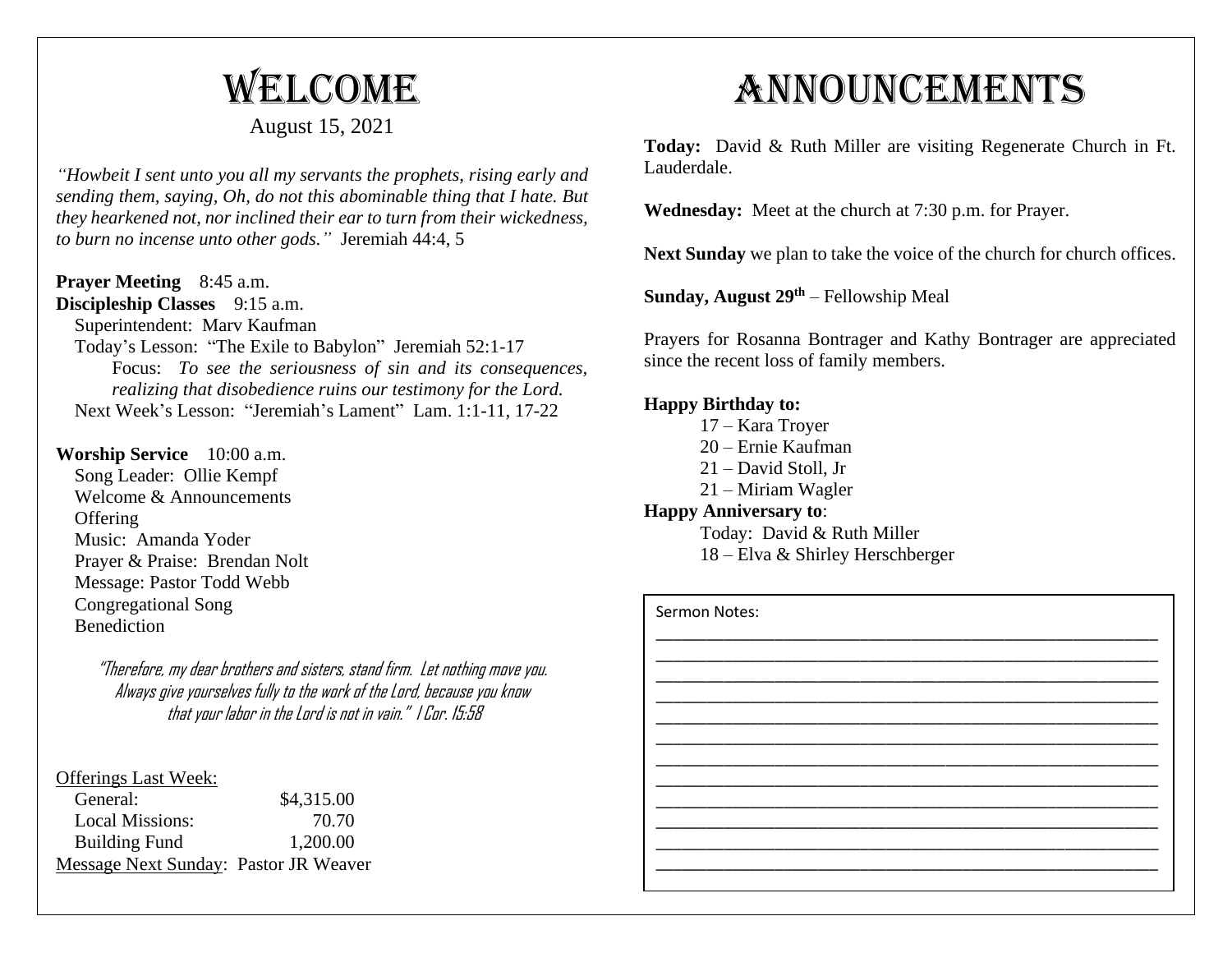# Welcome

### August 15, 2021

*"Howbeit I sent unto you all my servants the prophets, rising early and sending them, saying, Oh, do not this abominable thing that I hate. But they hearkened not, nor inclined their ear to turn from their wickedness, to burn no incense unto other gods."* Jeremiah 44:4, 5

#### **Prayer Meeting** 8:45 a.m.

**Discipleship Classes** 9:15 a.m.

Superintendent: Marv Kaufman

 Today's Lesson: "The Exile to Babylon" Jeremiah 52:1-17 Focus: *To see the seriousness of sin and its consequences, realizing that disobedience ruins our testimony for the Lord.* Next Week's Lesson: "Jeremiah's Lament" Lam. 1:1-11, 17-22

#### **Worship Service** 10:00 a.m.

 Song Leader: Ollie Kempf Welcome & Announcements **Offering**  Music: Amanda Yoder Prayer & Praise: Brendan Nolt Message: Pastor Todd Webb Congregational Song Benediction

> "Therefore, my dear brothers and sisters, stand firm. Let nothing move you. Always give yourselves fully to the work of the Lord, because you know that your labor in the Lord is not in vain." I Cor. 15:58

#### Offerings Last Week:

| \$4,315.00                            |
|---------------------------------------|
| 70.70                                 |
| 1,200.00                              |
| Message Next Sunday: Pastor JR Weaver |
|                                       |

## Announcements

**Today:** David & Ruth Miller are visiting Regenerate Church in Ft. Lauderdale.

**Wednesday:** Meet at the church at 7:30 p.m. for Prayer.

Next Sunday we plan to take the voice of the church for church offices.

**Sunday, August 29th** – Fellowship Meal

Prayers for Rosanna Bontrager and Kathy Bontrager are appreciated since the recent loss of family members.

#### **Happy Birthday to:**

- 17 Kara Troyer
- 20 Ernie Kaufman
- 21 David Stoll, Jr
- 21 Miriam Wagler

#### **Happy Anniversary to**:

Today: David & Ruth Miller 18 – Elva & Shirley Herschberger

| Sermon Notes: |  |
|---------------|--|
|               |  |
|               |  |
|               |  |
|               |  |
|               |  |
|               |  |
|               |  |
|               |  |
|               |  |